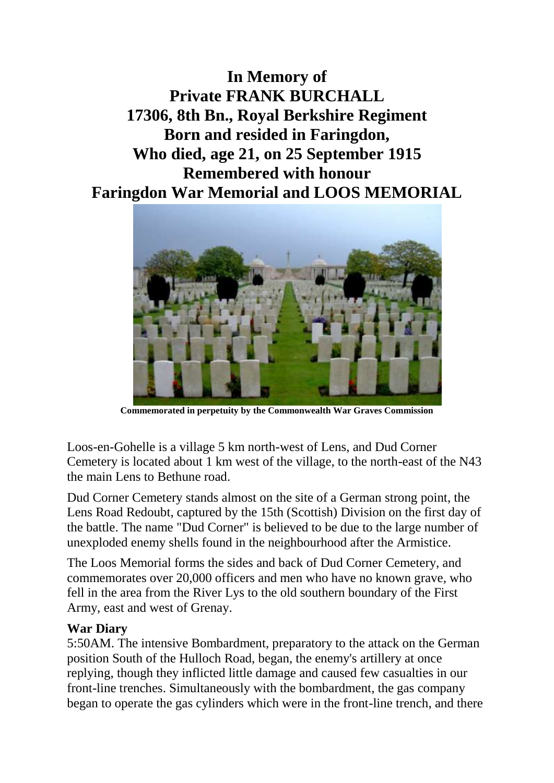**In Memory of Private FRANK BURCHALL 17306, 8th Bn., Royal Berkshire Regiment Born and resided in Faringdon, Who died, age 21, on 25 September 1915 Remembered with honour Faringdon War Memorial and LOOS MEMORIAL**



**Commemorated in perpetuity by the Commonwealth War Graves Commission** 

Loos-en-Gohelle is a village 5 km north-west of Lens, and Dud Corner Cemetery is located about 1 km west of the village, to the north-east of the N43 the main Lens to Bethune road.

Dud Corner Cemetery stands almost on the site of a German strong point, the Lens Road Redoubt, captured by the 15th (Scottish) Division on the first day of the battle. The name "Dud Corner" is believed to be due to the large number of unexploded enemy shells found in the neighbourhood after the Armistice.

The Loos Memorial forms the sides and back of Dud Corner Cemetery, and commemorates over 20,000 officers and men who have no known grave, who fell in the area from the River Lys to the old southern boundary of the First Army, east and west of Grenay.

## **War Diary**

5:50AM. The intensive Bombardment, preparatory to the attack on the German position South of the Hulloch Road, began, the enemy's artillery at once replying, though they inflicted little damage and caused few casualties in our front-line trenches. Simultaneously with the bombardment, the gas company began to operate the gas cylinders which were in the front-line trench, and there